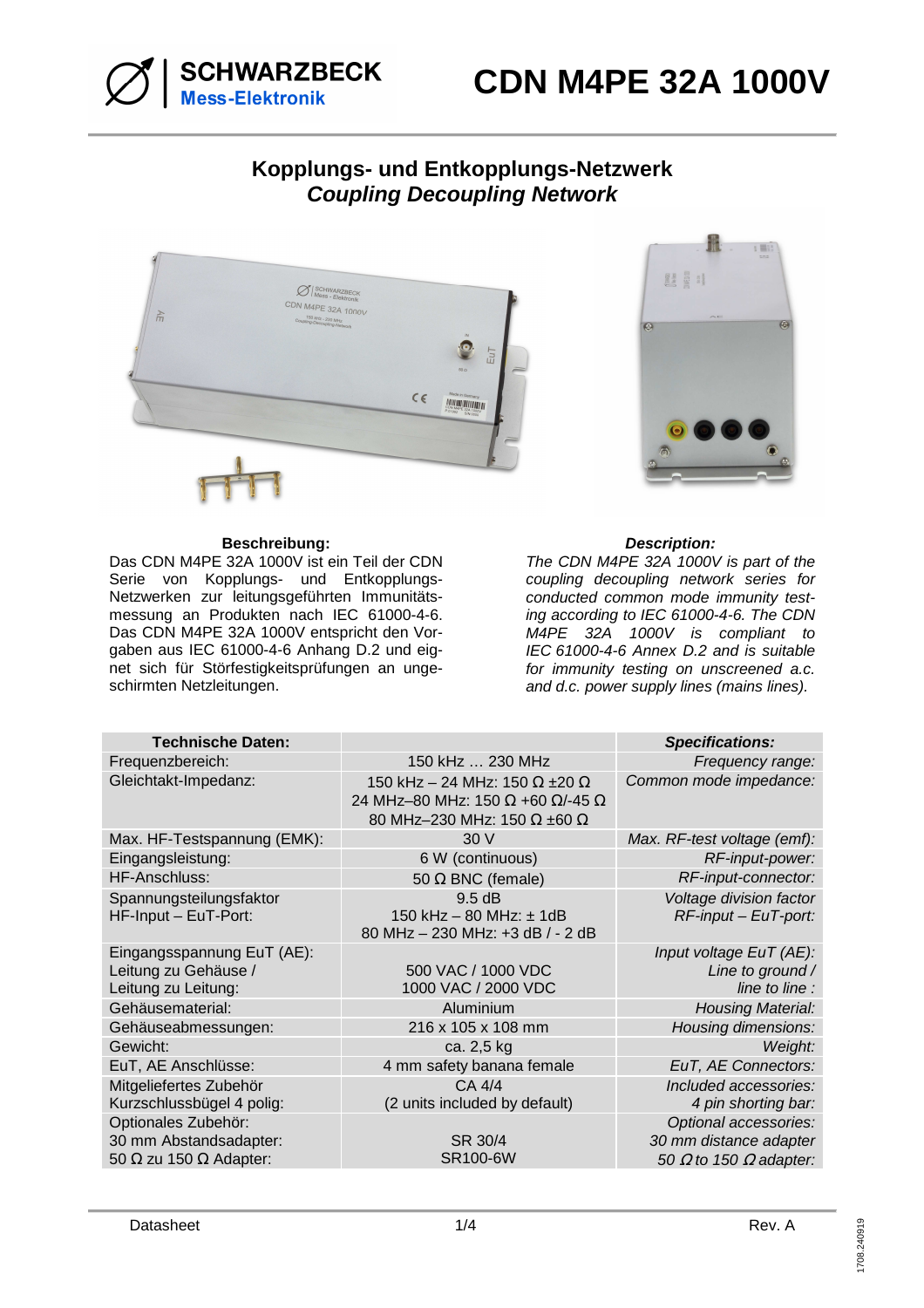

# **Kopplungs- und Entkopplungs-Netzwerk Coupling Decoupling Network**



# **Beschreibung: Description:**

Das CDN M4PE 32A 1000V ist ein Teil der CDN Serie von Kopplungs- und Entkopplungs-Netzwerken zur leitungsgeführten Immunitätsmessung an Produkten nach IEC 61000-4-6. Das CDN M4PE 32A 1000V entspricht den Vorgaben aus IEC 61000-4-6 Anhang D.2 und eignet sich für Störfestigkeitsprüfungen an ungeschirmten Netzleitungen.



The CDN M4PE 32A 1000V is part of the coupling decoupling network series for conducted common mode immunity testing according to IEC 61000-4-6. The CDN M4PE 32A 1000V is compliant to IEC 61000-4-6 Annex D.2 and is suitable for immunity testing on unscreened a.c. and d.c. power supply lines (mains lines).

| <b>Technische Daten:</b>                                                              |                                                                                                                                      | <b>Specifications:</b>                                                                  |
|---------------------------------------------------------------------------------------|--------------------------------------------------------------------------------------------------------------------------------------|-----------------------------------------------------------------------------------------|
| Frequenzbereich:                                                                      | 150 kHz  230 MHz                                                                                                                     | Frequency range:                                                                        |
| Gleichtakt-Impedanz:                                                                  | 150 kHz - 24 MHz: 150 $\Omega$ ±20 $\Omega$<br>24 MHz-80 MHz: 150 $\Omega$ +60 $\Omega$ /-45 $\Omega$<br>80 MHz-230 MHz: 150 Ω ±60 Ω | Common mode impedance:                                                                  |
| Max. HF-Testspannung (EMK):                                                           | 30 V                                                                                                                                 | Max. RF-test voltage (emf):                                                             |
| Eingangsleistung:                                                                     | 6 W (continuous)                                                                                                                     | RF-input-power:                                                                         |
| HF-Anschluss:                                                                         | 50 $\Omega$ BNC (female)                                                                                                             | RF-input-connector:                                                                     |
| Spannungsteilungsfaktor<br>HF-Input - EuT-Port:                                       | 9.5 dB<br>150 kHz - 80 MHz: ± 1dB<br>80 MHz - 230 MHz: +3 dB / - 2 dB                                                                | Voltage division factor<br>$RF$ -input – EuT-port:                                      |
| Eingangsspannung EuT (AE):<br>Leitung zu Gehäuse /<br>Leitung zu Leitung:             | 500 VAC / 1000 VDC<br>1000 VAC / 2000 VDC                                                                                            | Input voltage EuT (AE):<br>Line to ground /<br>line to line :                           |
| Gehäusematerial:                                                                      | Aluminium                                                                                                                            | <b>Housing Material:</b>                                                                |
| Gehäuseabmessungen:                                                                   | 216 x 105 x 108 mm                                                                                                                   | Housing dimensions:                                                                     |
| Gewicht:                                                                              | ca. 2,5 kg                                                                                                                           | Weight:                                                                                 |
| EuT, AE Anschlüsse:                                                                   | 4 mm safety banana female                                                                                                            | EuT, AE Connectors:                                                                     |
| Mitgeliefertes Zubehör<br>Kurzschlussbügel 4 polig:                                   | CA 4/4<br>(2 units included by default)                                                                                              | Included accessories:<br>4 pin shorting bar:                                            |
| Optionales Zubehör:<br>30 mm Abstandsadapter:<br>50 $\Omega$ zu 150 $\Omega$ Adapter: | SR 30/4<br><b>SR100-6W</b>                                                                                                           | Optional accessories:<br>30 mm distance adapter<br>50 $\Omega$ to 150 $\Omega$ adapter: |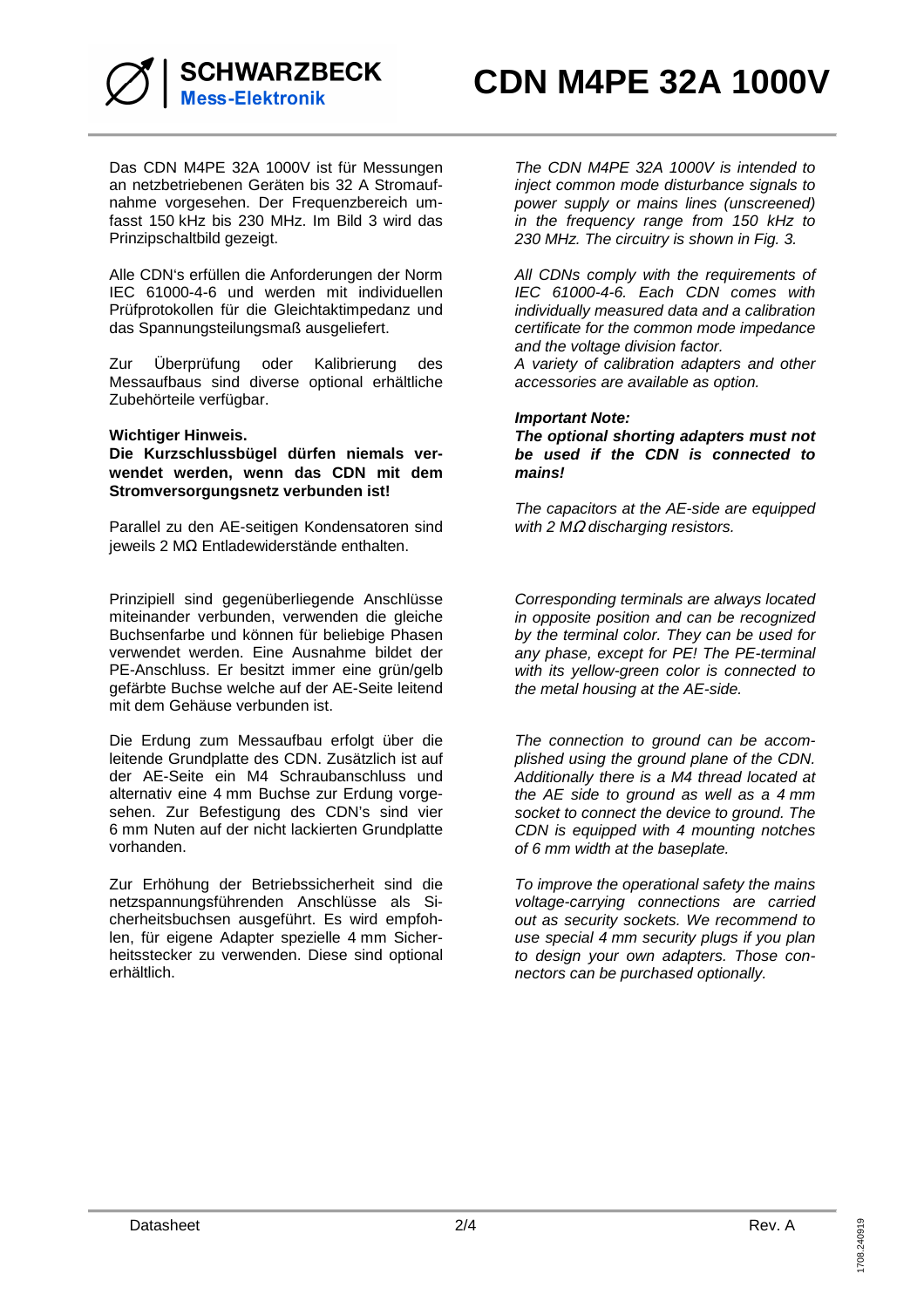

Das CDN M4PE 32A 1000V ist für Messungen an netzbetriebenen Geräten bis 32 A Stromaufnahme vorgesehen. Der Frequenzbereich umfasst 150 kHz bis 230 MHz. Im Bild 3 wird das Prinzipschaltbild gezeigt.

Alle CDN's erfüllen die Anforderungen der Norm IEC 61000-4-6 und werden mit individuellen Prüfprotokollen für die Gleichtaktimpedanz und das Spannungsteilungsmaß ausgeliefert.

Zur Überprüfung oder Kalibrierung des Messaufbaus sind diverse optional erhältliche Zubehörteile verfügbar.

## **Wichtiger Hinweis.**

**Die Kurzschlussbügel dürfen niemals verwendet werden, wenn das CDN mit dem Stromversorgungsnetz verbunden ist!** 

Parallel zu den AE-seitigen Kondensatoren sind jeweils 2 MΩ Entladewiderstände enthalten.

Prinzipiell sind gegenüberliegende Anschlüsse miteinander verbunden, verwenden die gleiche Buchsenfarbe und können für beliebige Phasen verwendet werden. Eine Ausnahme bildet der PE-Anschluss. Er besitzt immer eine grün/gelb gefärbte Buchse welche auf der AE-Seite leitend mit dem Gehäuse verbunden ist.

Die Erdung zum Messaufbau erfolgt über die leitende Grundplatte des CDN. Zusätzlich ist auf der AE-Seite ein M4 Schraubanschluss und alternativ eine 4 mm Buchse zur Erdung vorgesehen. Zur Befestigung des CDN's sind vier 6 mm Nuten auf der nicht lackierten Grundplatte vorhanden.

Zur Erhöhung der Betriebssicherheit sind die netzspannungsführenden Anschlüsse als Sicherheitsbuchsen ausgeführt. Es wird empfohlen, für eigene Adapter spezielle 4 mm Sicherheitsstecker zu verwenden. Diese sind optional erhältlich.

The CDN M4PE 32A 1000V is intended to inject common mode disturbance signals to power supply or mains lines (unscreened) in the frequency range from 150 kHz to 230 MHz. The circuitry is shown in Fig. 3.

All CDNs comply with the requirements of IEC 61000-4-6. Each CDN comes with individually measured data and a calibration certificate for the common mode impedance and the voltage division factor.

A variety of calibration adapters and other accessories are available as option.

## **Important Note:**

**The optional shorting adapters must not be used if the CDN is connected to mains!** 

The capacitors at the AE-side are equipped with 2  $M\Omega$  discharging resistors.

Corresponding terminals are always located in opposite position and can be recognized by the terminal color. They can be used for any phase, except for PE! The PE-terminal with its yellow-green color is connected to the metal housing at the AE-side.

The connection to ground can be accomplished using the ground plane of the CDN. Additionally there is a M4 thread located at the AE side to ground as well as a 4 mm socket to connect the device to ground. The CDN is equipped with 4 mounting notches of 6 mm width at the baseplate.

To improve the operational safety the mains voltage-carrying connections are carried out as security sockets. We recommend to use special 4 mm security plugs if you plan to design your own adapters. Those connectors can be purchased optionally.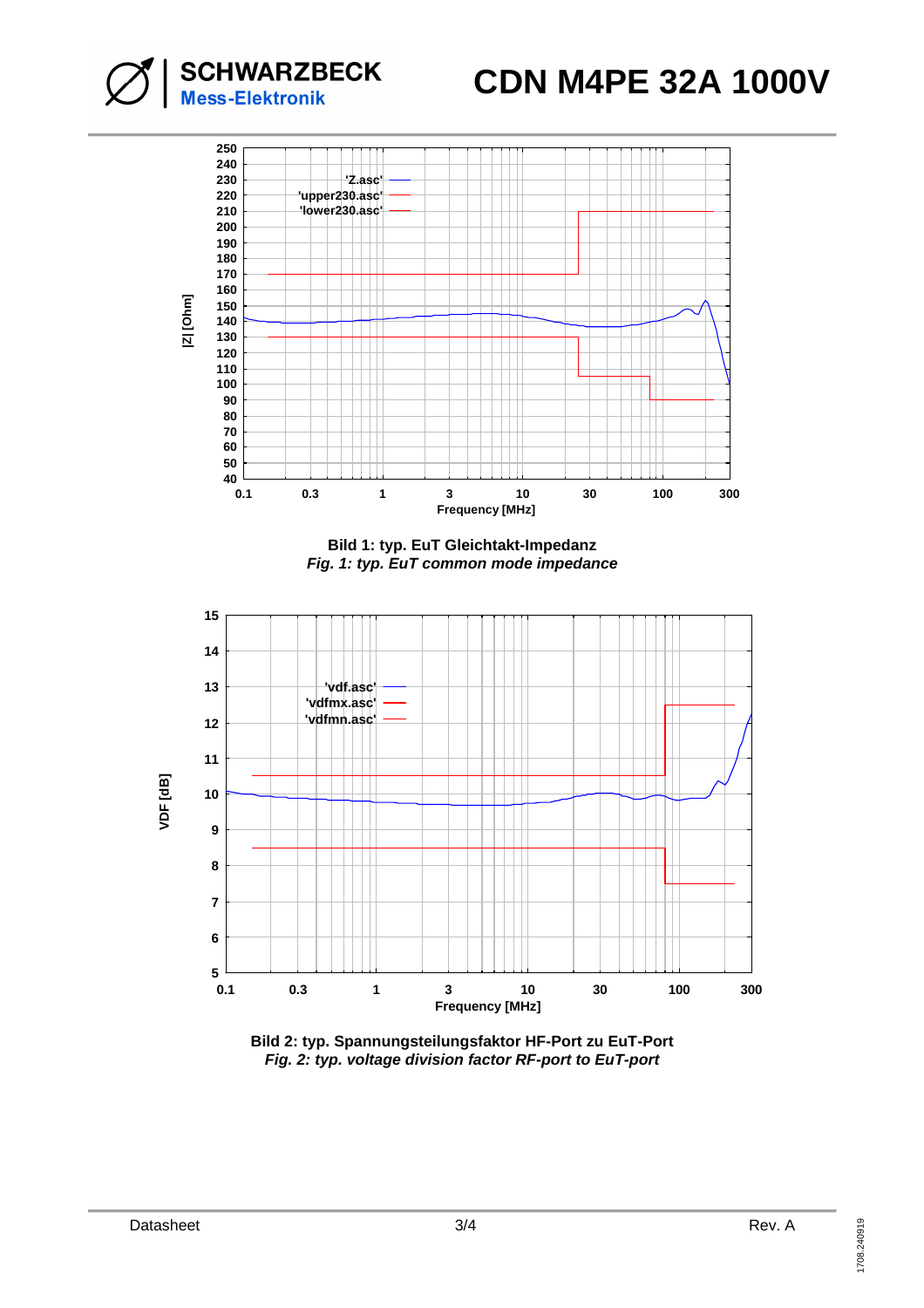

**SCHWARZBECK**<br>Mess-Elektronik